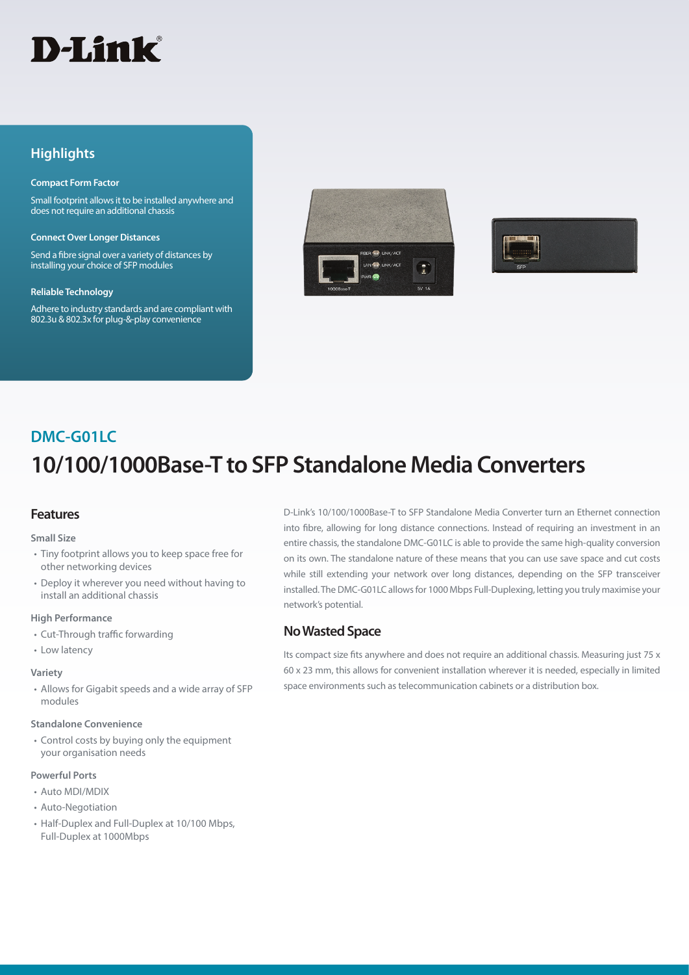# D-Link®

### **Highlights**

#### **Compact Form Factor**

Small footprint allows it to be installed anywhere and does not require an additional chassis

#### **Connect Over Longer Distances**

Send a fibre signal over a variety of distances by installing your choice of SFP modules

#### **Reliable Technology**

Adhere to industry standards and are compliant with 802.3u & 802.3x for plug-&-play convenience





# **10/100/1000Base-T to SFP Standalone Media Converters DMC-G01LC**

#### **Features**

#### **Small Size**

- Tiny footprint allows you to keep space free for other networking devices
- Deploy it wherever you need without having to install an additional chassis

#### **High Performance**

- Cut-Through traffic forwarding
- Low latency

#### **Variety**

• Allows for Gigabit speeds and a wide array of SFP modules

#### **Standalone Convenience**

• Control costs by buying only the equipment your organisation needs

#### **Powerful Ports**

- Auto MDI/MDIX
- Auto-Negotiation
- Half-Duplex and Full-Duplex at 10/100 Mbps, Full-Duplex at 1000Mbps

D-Link's 10/100/1000Base-T to SFP Standalone Media Converter turn an Ethernet connection into fibre, allowing for long distance connections. Instead of requiring an investment in an entire chassis, the standalone DMC-G01LC is able to provide the same high-quality conversion on its own. The standalone nature of these means that you can use save space and cut costs while still extending your network over long distances, depending on the SFP transceiver installed. The DMC-G01LC allows for 1000 Mbps Full-Duplexing, letting you truly maximise your network's potential.

#### **No Wasted Space**

Its compact size fits anywhere and does not require an additional chassis. Measuring just 75 x 60 x 23 mm, this allows for convenient installation wherever it is needed, especially in limited space environments such as telecommunication cabinets or a distribution box.